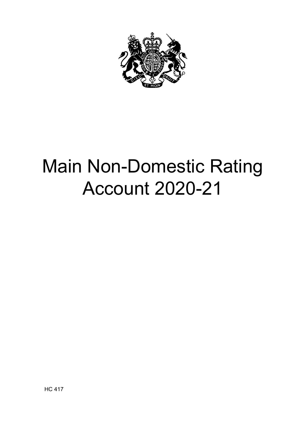

# Main Non-Domestic Rating Account 2020-21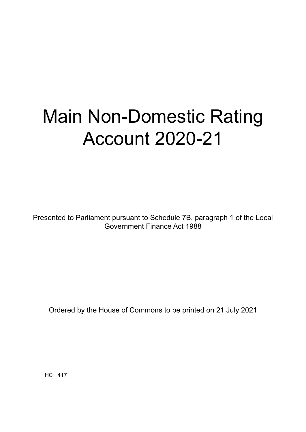# Main Non-Domestic Rating Account 2020-21

Presented to Parliament pursuant to Schedule 7B, paragraph 1 of the Local Government Finance Act 1988

Ordered by the House of Commons to be printed on 21 July 2021

HC 417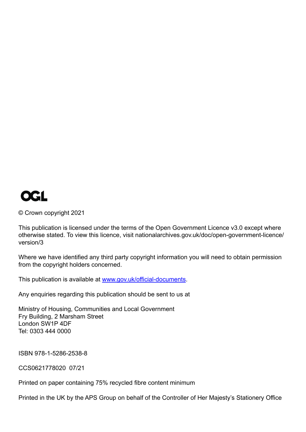

© Crown copyright 2021

This publication is licensed under the terms of the Open Government Licence v3.0 except where otherwise stated. To view this licence, visit nationalarchives.gov.uk/doc/open-government-licence/ version/3

Where we have identified any third party copyright information you will need to obtain permission from the copyright holders concerned.

This publication is available at [www.gov.uk/official-documents](http://www.gov.uk/official-documents).

Any enquiries regarding this publication should be sent to us at

Ministry of Housing, Communities and Local Government Fry Building, 2 Marsham Street London SW1P 4DF Tel: 0303 444 0000

ISBN 978-1-5286-2538-8

CCS0621778020 07/21

Printed on paper containing 75% recycled fibre content minimum

Printed in the UK by the APS Group on behalf of the Controller of Her Majesty's Stationery Office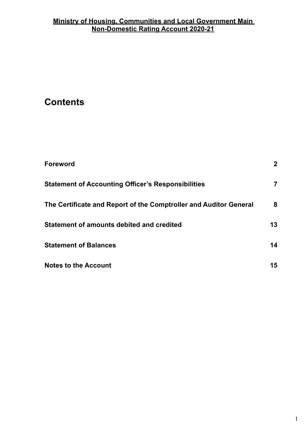# **Contents**

| <b>Foreword</b>                                                   | $\mathbf{2}$ |
|-------------------------------------------------------------------|--------------|
| <b>Statement of Accounting Officer's Responsibilities</b>         | 7            |
| The Certificate and Report of the Comptroller and Auditor General | 8            |
| Statement of amounts debited and credited                         | 13           |
| <b>Statement of Balances</b>                                      | 14           |
| <b>Notes to the Account</b>                                       | 15           |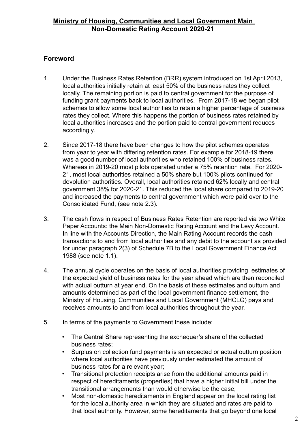# <span id="page-5-0"></span>**Foreword**

- 1. Under the Business Rates Retention (BRR) system introduced on 1st April 2013, local authorities initially retain at least 50% of the business rates they collect locally. The remaining portion is paid to central government for the purpose of funding grant payments back to local authorities. From 2017-18 we began pilot schemes to allow some local authorities to retain a higher percentage of business rates they collect. Where this happens the portion of business rates retained by local authorities increases and the portion paid to central government reduces accordingly.
- 2. Since 2017-18 there have been changes to how the pilot schemes operates from year to year with differing retention rates. For example for 2018-19 there was a good number of local authorities who retained 100% of business rates. Whereas in 2019-20 most pilots operated under a 75% retention rate. For 2020- 21, most local authorities retained a 50% share but 100% pilots continued for devolution authorities. Overall, local authorities retained 62% locally and central government 38% for 2020-21. This reduced the local share compared to 2019-20 and increased the payments to central government which were paid over to the Consolidated Fund, (see note 2.3).
- 3. The cash flows in respect of Business Rates Retention are reported via two White Paper Accounts: the Main Non-Domestic Rating Account and the Levy Account. In line with the Accounts Direction, the Main Rating Account records the cash transactions to and from local authorities and any debit to the account as provided for under paragraph 2(3) of Schedule 7B to the Local Government Finance Act 1988 (see note 1.1).
- 4. The annual cycle operates on the basis of local authorities providing estimates of the expected yield of business rates for the year ahead which are then reconciled with actual outturn at year end. On the basis of these estimates and outturn and amounts determined as part of the local government finance settlement, the Ministry of Housing, Communities and Local Government (MHCLG) pays and receives amounts to and from local authorities throughout the year.
- 5. In terms of the payments to Government these include:
	- The Central Share representing the exchequer's share of the collected business rates;
	- Surplus on collection fund payments is an expected or actual outturn position where local authorities have previously under estimated the amount of business rates for a relevant year;
	- Transitional protection receipts arise from the additional amounts paid in respect of hereditaments (properties) that have a higher initial bill under the transitional arrangements than would otherwise be the case;
	- Most non-domestic hereditaments in England appear on the local rating list for the local authority area in which they are situated and rates are paid to that local authority. However, some hereditaments that go beyond one local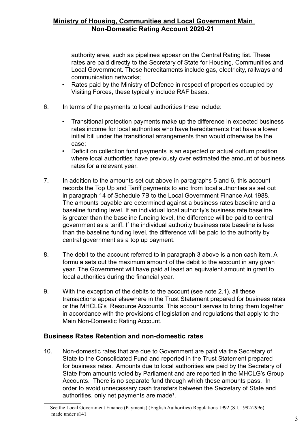authority area, such as pipelines appear on the Central Rating list. These rates are paid directly to the Secretary of State for Housing, Communities and Local Government. These hereditaments include gas, electricity, railways and communication networks;

- Rates paid by the Ministry of Defence in respect of properties occupied by Visiting Forces, these typically include RAF bases.
- 6. In terms of the payments to local authorities these include:
	- Transitional protection payments make up the difference in expected business rates income for local authorities who have hereditaments that have a lower initial bill under the transitional arrangements than would otherwise be the case;
	- Deficit on collection fund payments is an expected or actual outturn position where local authorities have previously over estimated the amount of business rates for a relevant year.
- 7. In addition to the amounts set out above in paragraphs 5 and 6, this account records the Top Up and Tariff payments to and from local authorities as set out in paragraph 14 of Schedule 7B to the Local Government Finance Act 1988. The amounts payable are determined against a business rates baseline and a baseline funding level. If an individual local authority's business rate baseline is greater than the baseline funding level, the difference will be paid to central government as a tariff. If the individual authority business rate baseline is less than the baseline funding level, the difference will be paid to the authority by central government as a top up payment.
- 8. The debit to the account referred to in paragraph 3 above is a non cash item. A formula sets out the maximum amount of the debit to the account in any given year. The Government will have paid at least an equivalent amount in grant to local authorities during the financial year.
- 9. With the exception of the debits to the account (see note 2.1), all these transactions appear elsewhere in the Trust Statement prepared for business rates or the MHCLG's Resource Accounts. This account serves to bring them together in accordance with the provisions of legislation and regulations that apply to the Main Non-Domestic Rating Account.

### **Business Rates Retention and non-domestic rates**

10. Non-domestic rates that are due to Government are paid via the Secretary of State to the Consolidated Fund and reported in the Trust Statement prepared for business rates. Amounts due to local authorities are paid by the Secretary of State from amounts voted by Parliament and are reported in the MHCLG's Group Accounts. There is no separate fund through which these amounts pass. In order to avoid unnecessary cash transfers between the Secretary of State and authorities, only net payments are made $^{\text{\tiny{1}}}$ .

<sup>1</sup> See the Local Government Finance (Payments) (English Authorities) Regulations 1992 (S.I. 1992/2996) made under s141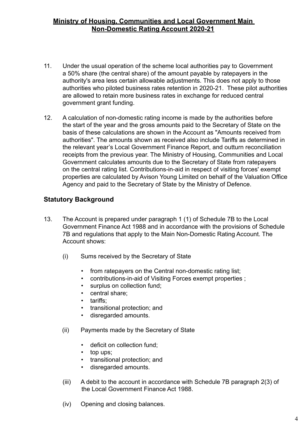- 11. Under the usual operation of the scheme local authorities pay to Government a 50% share (the central share) of the amount payable by ratepayers in the authority's area less certain allowable adjustments. This does not apply to those authorities who piloted business rates retention in 2020-21. These pilot authorities are allowed to retain more business rates in exchange for reduced central government grant funding.
- 12. A calculation of non-domestic rating income is made by the authorities before the start of the year and the gross amounts paid to the Secretary of State on the basis of these calculations are shown in the Account as "Amounts received from authorities". The amounts shown as received also include Tariffs as determined in the relevant year's Local Government Finance Report, and outturn reconciliation receipts from the previous year. The Ministry of Housing, Communities and Local Government calculates amounts due to the Secretary of State from ratepayers on the central rating list. Contributions-in-aid in respect of visiting forces' exempt properties are calculated by Avison Young Limited on behalf of the Valuation Office Agency and paid to the Secretary of State by the Ministry of Defence.

# **Statutory Background**

- 13. The Account is prepared under paragraph 1 (1) of Schedule 7B to the Local Government Finance Act 1988 and in accordance with the provisions of Schedule 7B and regulations that apply to the Main Non-Domestic Rating Account. The Account shows:
	- (i) Sums received by the Secretary of State
		- from ratepayers on the Central non-domestic rating list;
		- contributions-in-aid of Visiting Forces exempt properties ;
		- surplus on collection fund;
		- central share;
		- tariffs;
		- transitional protection; and
		- disregarded amounts.
	- (ii) Payments made by the Secretary of State
		- deficit on collection fund;
		- top ups;
		- transitional protection; and
		- disregarded amounts.
	- (iii) A debit to the account in accordance with Schedule 7B paragraph 2(3) of the Local Government Finance Act 1988.
	- (iv) Opening and closing balances.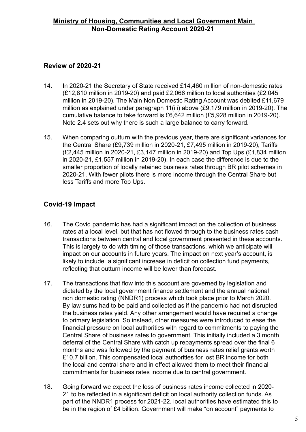# <span id="page-8-0"></span>**Review of 2020-21**

- 14. In 2020-21 the Secretary of State received £14,460 million of non-domestic rates (£12,810 million in 2019-20) and paid £2,066 million to local authorities (£2,045 million in 2019-20). The Main Non Domestic Rating Account was debited £11,679 million as explained under paragraph 11(iii) above (£9,179 million in 2019-20). The cumulative balance to take forward is £6,642 million (£5,928 million in 2019-20). Note 2.4 sets out why there is such a large balance to carry forward.
- 15. When comparing outturn with the previous year, there are significant variances for the Central Share (£9,739 million in 2020-21, £7,495 million in 2019-20), Tariffs (£2,445 million in 2020-21, £3,147 million in 2019-20) and Top Ups (£1,834 million in 2020-21, £1,557 million in 2019-20). In each case the difference is due to the smaller proportion of locally retained business rates through BR pilot schemes in 2020-21. With fewer pilots there is more income through the Central Share but less Tariffs and more Top Ups.

# **Covid-19 Impact**

- 16. The Covid pandemic has had a significant impact on the collection of business rates at a local level, but that has not flowed through to the business rates cash transactions between central and local government presented in these accounts. This is largely to do with timing of those transactions, which we anticipate will impact on our accounts in future years. The impact on next year's account, is likely to include a significant increase in deficit on collection fund payments, reflecting that outturn income will be lower than forecast.
- 17. The transactions that flow into this account are governed by legislation and dictated by the local government finance settlement and the annual national non domestic rating (NNDR1) process which took place prior to March 2020. By law sums had to be paid and collected as if the pandemic had not disrupted the business rates yield. Any other arrangement would have required a change to primary legislation. So instead, other measures were introduced to ease the financial pressure on local authorities with regard to commitments to paying the Central Share of business rates to government. This initially included a 3 month deferral of the Central Share with catch up repayments spread over the final 6 months and was followed by the payment of business rates relief grants worth £10.7 billion. This compensated local authorities for lost BR income for both the local and central share and in effect allowed them to meet their financial commitments for business rates income due to central government.
- 18. Going forward we expect the loss of business rates income collected in 2020- 21 to be reflected in a significant deficit on local authority collection funds. As part of the NNDR1 process for 2021-22, local authorities have estimated this to be in the region of £4 billion. Government will make "on account" payments to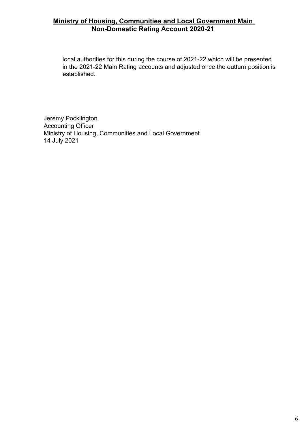<span id="page-9-0"></span>local authorities for this during the course of 2021-22 which will be presented in the 2021-22 Main Rating accounts and adjusted once the outturn position is established.

Jeremy Pocklington Accounting Officer Ministry of Housing, Communities and Local Government 14 July 2021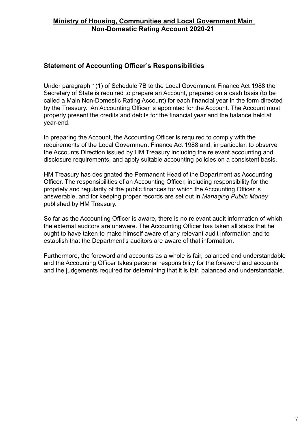### **Statement of Accounting Officer's Responsibilities**

Under paragraph 1(1) of Schedule 7B to the Local Government Finance Act 1988 the Secretary of State is required to prepare an Account, prepared on a cash basis (to be called a Main Non-Domestic Rating Account) for each financial year in the form directed by the Treasury. An Accounting Officer is appointed for the Account. The Account must properly present the credits and debits for the financial year and the balance held at year-end.

In preparing the Account, the Accounting Officer is required to comply with the requirements of the Local Government Finance Act 1988 and, in particular, to observe the Accounts Direction issued by HM Treasury including the relevant accounting and disclosure requirements, and apply suitable accounting policies on a consistent basis.

HM Treasury has designated the Permanent Head of the Department as Accounting Officer. The responsibilities of an Accounting Officer, including responsibility for the propriety and regularity of the public finances for which the Accounting Officer is answerable, and for keeping proper records are set out in *Managing Public Money* published by HM Treasury.

So far as the Accounting Officer is aware, there is no relevant audit information of which the external auditors are unaware. The Accounting Officer has taken all steps that he ought to have taken to make himself aware of any relevant audit information and to establish that the Department's auditors are aware of that information.

Furthermore, the foreword and accounts as a whole is fair, balanced and understandable and the Accounting Officer takes personal responsibility for the foreword and accounts and the judgements required for determining that it is fair, balanced and understandable.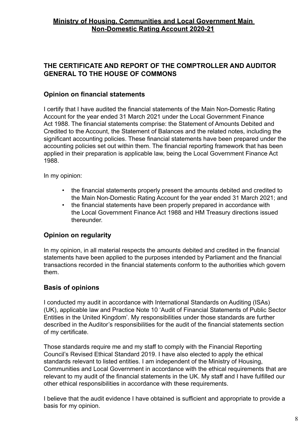# **THE CERTIFICATE AND REPORT OF THE COMPTROLLER AND AUDITOR GENERAL TO THE HOUSE OF COMMONS**

### **Opinion on financial statements**

I certify that I have audited the financial statements of the Main Non-Domestic Rating Account for the year ended 31 March 2021 under the Local Government Finance Act 1988. The financial statements comprise: the Statement of Amounts Debited and Credited to the Account, the Statement of Balances and the related notes, including the significant accounting policies. These financial statements have been prepared under the accounting policies set out within them. The financial reporting framework that has been applied in their preparation is applicable law, being the Local Government Finance Act 1988.

In my opinion:

- the financial statements properly present the amounts debited and credited to the Main Non-Domestic Rating Account for the year ended 31 March 2021; and
- the financial statements have been properly prepared in accordance with the Local Government Finance Act 1988 and HM Treasury directions issued thereunder.

### **Opinion on regularity**

In my opinion, in all material respects the amounts debited and credited in the financial statements have been applied to the purposes intended by Parliament and the financial transactions recorded in the financial statements conform to the authorities which govern them.

### **Basis of opinions**

I conducted my audit in accordance with International Standards on Auditing (ISAs) (UK), applicable law and Practice Note 10 'Audit of Financial Statements of Public Sector Entities in the United Kingdom'. My responsibilities under those standards are further described in the Auditor's responsibilities for the audit of the financial statements section of my certificate.

Those standards require me and my staff to comply with the Financial Reporting Council's Revised Ethical Standard 2019. I have also elected to apply the ethical standards relevant to listed entities. I am independent of the Ministry of Housing, Communities and Local Government in accordance with the ethical requirements that are relevant to my audit of the financial statements in the UK. My staff and I have fulfilled our other ethical responsibilities in accordance with these requirements.

I believe that the audit evidence I have obtained is sufficient and appropriate to provide a basis for my opinion.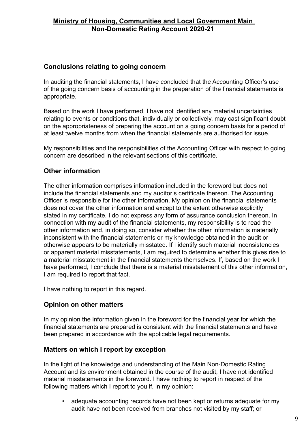# <span id="page-12-0"></span>**Conclusions relating to going concern**

In auditing the financial statements, I have concluded that the Accounting Officer's use of the going concern basis of accounting in the preparation of the financial statements is appropriate.

Based on the work I have performed, I have not identified any material uncertainties relating to events or conditions that, individually or collectively, may cast significant doubt on the appropriateness of preparing the account on a going concern basis for a period of at least twelve months from when the financial statements are authorised for issue.

My responsibilities and the responsibilities of the Accounting Officer with respect to going concern are described in the relevant sections of this certificate.

# **Other information**

The other information comprises information included in the foreword but does not include the financial statements and my auditor's certificate thereon. The Accounting Officer is responsible for the other information. My opinion on the financial statements does not cover the other information and except to the extent otherwise explicitly stated in my certificate, I do not express any form of assurance conclusion thereon. In connection with my audit of the financial statements, my responsibility is to read the other information and, in doing so, consider whether the other information is materially inconsistent with the financial statements or my knowledge obtained in the audit or otherwise appears to be materially misstated. If I identify such material inconsistencies or apparent material misstatements, I am required to determine whether this gives rise to a material misstatement in the financial statements themselves. If, based on the work I have performed. I conclude that there is a material misstatement of this other information, I am required to report that fact.

I have nothing to report in this regard.

### **Opinion on other matters**

In my opinion the information given in the foreword for the financial year for which the financial statements are prepared is consistent with the financial statements and have been prepared in accordance with the applicable legal requirements.

#### **Matters on which I report by exception**

In the light of the knowledge and understanding of the Main Non-Domestic Rating Account and its environment obtained in the course of the audit, I have not identified material misstatements in the foreword. I have nothing to report in respect of the following matters which I report to you if, in my opinion:

• adequate accounting records have not been kept or returns adequate for my audit have not been received from branches not visited by my staff; or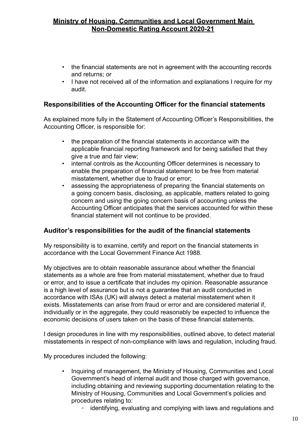- the financial statements are not in agreement with the accounting records and returns; or
- I have not received all of the information and explanations I require for my audit.

# **Responsibilities of the Accounting Officer for the financial statements**

As explained more fully in the Statement of Accounting Officer's Responsibilities, the Accounting Officer, is responsible for:

- the preparation of the financial statements in accordance with the applicable financial reporting framework and for being satisfied that they give a true and fair view;
- internal controls as the Accounting Officer determines is necessary to enable the preparation of financial statement to be free from material misstatement, whether due to fraud or error;
- assessing the appropriateness of preparing the financial statements on a going concern basis, disclosing, as applicable, matters related to going concern and using the going concern basis of accounting unless the Accounting Officer anticipates that the services accounted for within these financial statement will not continue to be provided.

### **Auditor's responsibilities for the audit of the financial statements**

My responsibility is to examine, certify and report on the financial statements in accordance with the Local Government Finance Act 1988.

My objectives are to obtain reasonable assurance about whether the financial statements as a whole are free from material misstatement, whether due to fraud or error, and to issue a certificate that includes my opinion. Reasonable assurance is a high level of assurance but is not a guarantee that an audit conducted in accordance with ISAs (UK) will always detect a material misstatement when it exists. Misstatements can arise from fraud or error and are considered material if, individually or in the aggregate, they could reasonably be expected to influence the economic decisions of users taken on the basis of these financial statements.

I design procedures in line with my responsibilities, outlined above, to detect material misstatements in respect of non-compliance with laws and regulation, including fraud.

My procedures included the following:

- Inquiring of management, the Ministry of Housing, Communities and Local Government's head of internal audit and those charged with governance, including obtaining and reviewing supporting documentation relating to the Ministry of Housing, Communities and Local Government's policies and procedures relating to:
	- identifying, evaluating and complying with laws and regulations and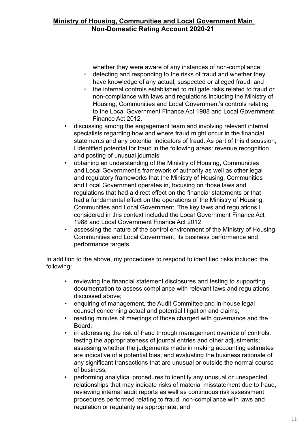whether they were aware of any instances of non-compliance;

- detecting and responding to the risks of fraud and whether they have knowledge of any actual, suspected or alleged fraud; and
- the internal controls established to mitigate risks related to fraud or non-compliance with laws and regulations including the Ministry of Housing, Communities and Local Government's controls relating to the Local Government Finance Act 1988 and Local Government Finance Act 2012.
- discussing among the engagement team and involving relevant internal specialists regarding how and where fraud might occur in the financial statements and any potential indicators of fraud. As part of this discussion, I identified potential for fraud in the following areas: revenue recognition and posting of unusual journals;
- obtaining an understanding of the Ministry of Housing, Communities and Local Government's framework of authority as well as other legal and regulatory frameworks that the Ministry of Housing, Communities and Local Government operates in, focusing on those laws and regulations that had a direct effect on the financial statements or that had a fundamental effect on the operations of the Ministry of Housing, Communities and Local Government. The key laws and regulations I considered in this context included the Local Government Finance Act 1988 and Local Government Finance Act 2012
- assessing the nature of the control environment of the Ministry of Housing Communities and Local Government, its business performance and performance targets.

In addition to the above, my procedures to respond to identified risks included the following:

- reviewing the financial statement disclosures and testing to supporting documentation to assess compliance with relevant laws and regulations discussed above;
- enquiring of management, the Audit Committee and in-house legal counsel concerning actual and potential litigation and claims;
- reading minutes of meetings of those charged with governance and the Board;
- in addressing the risk of fraud through management override of controls, testing the appropriateness of journal entries and other adjustments; assessing whether the judgements made in making accounting estimates are indicative of a potential bias; and evaluating the business rationale of any significant transactions that are unusual or outside the normal course of business;
- performing analytical procedures to identify any unusual or unexpected relationships that may indicate risks of material misstatement due to fraud, reviewing internal audit reports as well as continuous risk assessment procedures performed relating to fraud, non-compliance with laws and regulation or regularity as appropriate; and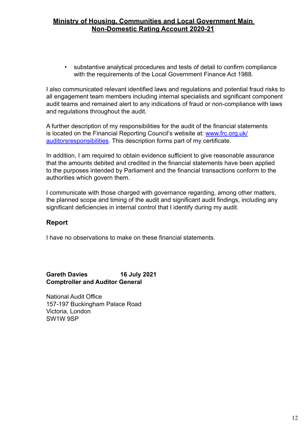• substantive analytical procedures and tests of detail to confirm compliance with the requirements of the Local Government Finance Act 1988.

I also communicated relevant identified laws and regulations and potential fraud risks to all engagement team members including internal specialists and significant component audit teams and remained alert to any indications of fraud or non-compliance with laws and regulations throughout the audit.

A further description of my responsibilities for the audit of the financial statements is located on the Financial Reporting Council's website at: [www.frc.org.uk/](https://www.frc.org.uk/auditors/audit-assurance/auditor-s-responsibilities-for-the-audit-of-the-fi/description-of-the-auditor%e2%80%99s-responsibilities-for) [auditorsresponsibilities](https://www.frc.org.uk/auditors/audit-assurance/auditor-s-responsibilities-for-the-audit-of-the-fi/description-of-the-auditor%e2%80%99s-responsibilities-for). This description forms part of my certificate.

In addition, I am required to obtain evidence sufficient to give reasonable assurance that the amounts debited and credited in the financial statements have been applied to the purposes intended by Parliament and the financial transactions conform to the authorities which govern them.

I communicate with those charged with governance regarding, among other matters, the planned scope and timing of the audit and significant audit findings, including any significant deficiencies in internal control that I identify during my audit.

### **Report**

I have no observations to make on these financial statements.

#### **Gareth Davies 16 July 2021 Comptroller and Auditor General**

National Audit Office 157-197 Buckingham Palace Road Victoria, London SW1W 9SP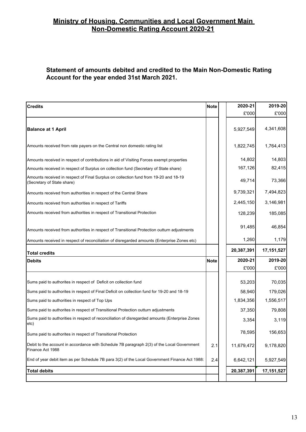#### **Statement of amounts debited and credited to the Main Non-Domestic Rating Account for the year ended 31st March 2021.**

| <b>Credits</b>                                                                                                     | <b>Note</b> | 2020-21    | 2019-20      |
|--------------------------------------------------------------------------------------------------------------------|-------------|------------|--------------|
|                                                                                                                    |             | £'000      | £'000        |
| <b>Balance at 1 April</b>                                                                                          |             | 5,927,549  | 4,341,608    |
| Amounts received from rate payers on the Central non domestic rating list                                          |             | 1,822,745  | 1,764,413    |
| Amounts received in respect of contributions in aid of Visiting Forces exempt properties                           |             | 14,802     | 14,803       |
| Amounts received in respect of Surplus on collection fund (Secretary of State share)                               |             | 167,126    | 82,415       |
| Amounts received in respect of Final Surplus on collection fund from 19-20 and 18-19<br>(Secretary of State share) |             | 49,714     | 73,366       |
| Amounts received from authorities in respect of the Central Share                                                  |             | 9,739,321  | 7,494,823    |
| Amounts received from authorities in respect of Tariffs                                                            |             | 2,445,150  | 3,146,981    |
| Amounts received from authorities in respect of Transitional Protection                                            |             | 128,239    | 185,085      |
| Amounts received from authorities in respect of Transitional Protection outturn adjustments                        |             | 91,485     | 46,854       |
| Amounts received in respect of reconciliation of disregarded amounts (Enterprise Zones etc)                        |             | 1,260      | 1,179        |
| <b>Total credits</b>                                                                                               |             | 20,387,391 | 17, 151, 527 |
| <b>Debits</b>                                                                                                      | <b>Note</b> | 2020-21    | 2019-20      |
|                                                                                                                    |             | £'000      | £'000        |
| Sums paid to authorites in respect of Deficit on collection fund                                                   |             | 53,203     | 70,035       |
| Sums paid to authorites in respect of Final Deficit on collection fund for 19-20 and 18-19                         |             | 58,940     | 179,026      |
| Sums paid to authorities in respect of Top Ups                                                                     |             | 1,834,356  | 1,556,517    |
| Sums paid to authorites in respect of Transitional Protection outturn adjustments                                  |             | 37,350     | 79,808       |
| Sums paid to authorities in respect of reconciliation of disregarded amounts (Enterprise Zones<br>etc)             |             | 3,354      | 3,119        |
| Sums paid to authorites in respect of Transitional Protection                                                      |             | 78,595     | 156,653      |
| Debit to the account in accordance with Schedule 7B paragraph 2(3) of the Local Government<br>Finance Act 1988     | 2.1         | 11,679,472 | 9,178,820    |
| End of year debit item as per Schedule 7B para 3(2) of the Local Government Finance Act 1988:                      | 2.4         | 6,642,121  | 5,927,549    |
| <b>Total debits</b>                                                                                                |             | 20,387,391 | 17, 151, 527 |
|                                                                                                                    |             |            |              |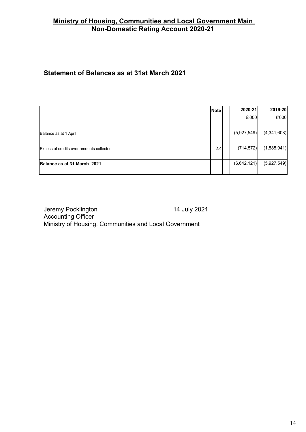# <span id="page-17-0"></span>**Statement of Balances as at 31st March 2021**

|                                                 | <b>Note</b> | 2020-21     | 2019-20     |
|-------------------------------------------------|-------------|-------------|-------------|
|                                                 |             | £'000       | E'000       |
| Balance as at 1 April                           |             | (5,927,549) | (4,341,608) |
| <b>Excess of credits over amounts collected</b> | 2.4         | (714, 572)  | (1,585,941) |
| Balance as at 31 March 2021                     |             | (6,642,121) | (5,927,549) |
|                                                 |             |             |             |

Jeremy Pocklington 14 July 2021 Accounting Officer Ministry of Housing, Communities and Local Government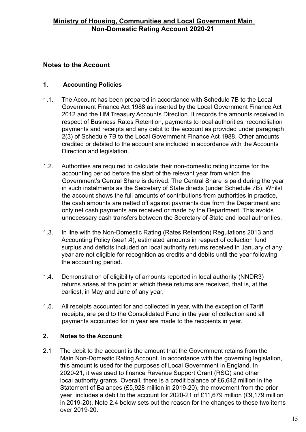# <span id="page-18-0"></span>**Notes to the Account**

# **1. Accounting Policies**

- 1.1. The Account has been prepared in accordance with Schedule 7B to the Local Government Finance Act 1988 as inserted by the Local Government Finance Act 2012 and the HM Treasury Accounts Direction. It records the amounts received in respect of Business Rates Retention, payments to local authorities, reconciliation payments and receipts and any debit to the account as provided under paragraph 2(3) of Schedule 7B to the Local Government Finance Act 1988. Other amounts credited or debited to the account are included in accordance with the Accounts Direction and legislation.
- 1.2. Authorities are required to calculate their non-domestic rating income for the accounting period before the start of the relevant year from which the Government's Central Share is derived. The Central Share is paid during the year in such instalments as the Secretary of State directs (under Schedule 7B). Whilst the account shows the full amounts of contributions from authorities in practice, the cash amounts are netted off against payments due from the Department and only net cash payments are received or made by the Department. This avoids unnecessary cash transfers between the Secretary of State and local authorities.
- 1.3. In line with the Non-Domestic Rating (Rates Retention) Regulations 2013 and Accounting Policy (see1.4), estimated amounts in respect of collection fund surplus and deficits included on local authority returns received in January of any year are not eligible for recognition as credits and debits until the year following the accounting period.
- 1.4. Demonstration of eligibility of amounts reported in local authority (NNDR3) returns arises at the point at which these returns are received, that is, at the earliest, in May and June of any year.
- 1.5. All receipts accounted for and collected in year, with the exception of Tariff receipts, are paid to the Consolidated Fund in the year of collection and all payments accounted for in year are made to the recipients in year.

### **2. Notes to the Account**

2.1 The debit to the account is the amount that the Government retains from the Main Non-Domestic Rating Account. In accordance with the governing legislation, this amount is used for the purposes of Local Government in England. In 2020-21, it was used to finance Revenue Support Grant (RSG) and other local authority grants. Overall, there is a credit balance of £6,642 million in the Statement of Balances (£5,928 million in 2019-20), the movement from the prior year includes a debit to the account for 2020-21 of £11,679 million (£9,179 million in 2019-20). Note 2.4 below sets out the reason for the changes to these two items over 2019-20.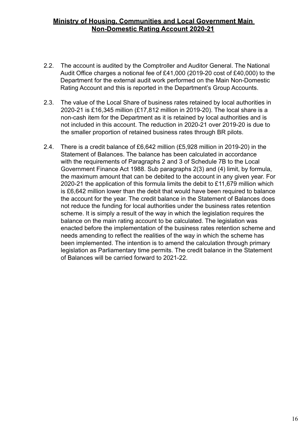- 2.2. The account is audited by the Comptroller and Auditor General. The National Audit Office charges a notional fee of £41,000 (2019-20 cost of £40,000) to the Department for the external audit work performed on the Main Non-Domestic Rating Account and this is reported in the Department's Group Accounts.
- 2.3. The value of the Local Share of business rates retained by local authorities in 2020-21 is £16,345 million (£17,812 million in 2019-20). The local share is a non-cash item for the Department as it is retained by local authorities and is not included in this account. The reduction in 2020-21 over 2019-20 is due to the smaller proportion of retained business rates through BR pilots.
- 2.4. There is a credit balance of £6,642 million (£5,928 million in 2019-20) in the Statement of Balances. The balance has been calculated in accordance with the requirements of Paragraphs 2 and 3 of Schedule 7B to the Local Government Finance Act 1988. Sub paragraphs 2(3) and (4) limit, by formula, the maximum amount that can be debited to the account in any given year. For 2020-21 the application of this formula limits the debit to £11,679 million which is £6,642 million lower than the debit that would have been required to balance the account for the year. The credit balance in the Statement of Balances does not reduce the funding for local authorities under the business rates retention scheme. It is simply a result of the way in which the legislation requires the balance on the main rating account to be calculated. The legislation was enacted before the implementation of the business rates retention scheme and needs amending to reflect the realities of the way in which the scheme has been implemented. The intention is to amend the calculation through primary legislation as Parliamentary time permits. The credit balance in the Statement of Balances will be carried forward to 2021-22.